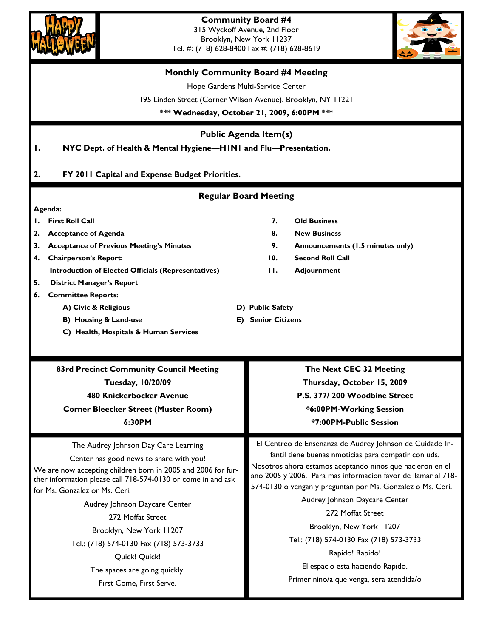



## Tel. #: (718) 628-8400 Fax #: (718) 628-8619 **Monthly Community Board #4 Meeting**  Hope Gardens Multi-Service Center 195 Linden Street (Corner Wilson Avenue), Brooklyn, NY 11221 **\*\*\* Wednesday, October 21, 2009, 6:00PM \*\*\* Regular Board Meeting Agenda: 1. First Roll Call 7. Old Business 2. Acceptance of Agenda 8. New Business 3. Acceptance of Previous Meeting's Minutes 9. Announcements (1.5 minutes only) 4. Chairperson's Report: 10. Second Roll Call Introduction of Elected Officials (Representatives) 11. Adjournment 5. District Manager's Report 6. Committee Reports: A) Civic & Religious D) Public Safety B)** Housing & Land-use **E**) Senior Citizens  **C) Health, Hospitals & Human Services Public Agenda Item(s) 1. NYC Dept. of Health & Mental Hygiene—H1N1 and Flu—Presentation. 2. FY 2011 Capital and Expense Budget Priorities.**  The Audrey Johnson Day Care Learning Center has good news to share with you! We are now accepting children born in 2005 and 2006 for further information please call 718-574-0130 or come in and ask for Ms. Gonzalez or Ms. Ceri. Audrey Johnson Daycare Center 272 Moffat Street Brooklyn, New York 11207 Tel.: (718) 574-0130 Fax (718) 573-3733 Quick! Quick! The spaces are going quickly. First Come, First Serve. El Centreo de Ensenanza de Audrey Johnson de Cuidado Infantil tiene buenas nmoticias para compatir con uds. Nosotros ahora estamos aceptando ninos que hacieron en el ano 2005 y 2006. Para mas informacion favor de llamar al 718- 574-0130 o vengan y preguntan por Ms. Gonzalez o Ms. Ceri. Audrey Johnson Daycare Center 272 Moffat Street Brooklyn, New York 11207 Tel.: (718) 574-0130 Fax (718) 573-3733 Rapido! Rapido! El espacio esta haciendo Rapido. Primer nino/a que venga, sera atendida/o **83rd Precinct Community Council Meeting Tuesday, 10/20/09 480 Knickerbocker Avenue Corner Bleecker Street (Muster Room) 6:30PM The Next CEC 32 Meeting Thursday, October 15, 2009 P.S. 377/ 200 Woodbine Street \*6:00PM-Working Session \*7:00PM-Public Session**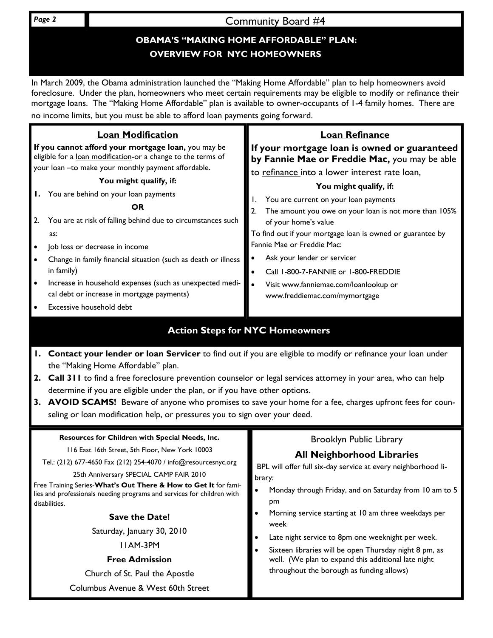**Page 2 Community Board #4** 

# **OBAMA'S "MAKING HOME AFFORDABLE" PLAN: OVERVIEW FOR NYC HOMEOWNERS**

In March 2009, the Obama administration launched the "Making Home Affordable" plan to help homeowners avoid foreclosure. Under the plan, homeowners who meet certain requirements may be eligible to modify or refinance their mortgage loans. The "Making Home Affordable" plan is available to owner-occupants of 1-4 family homes. There are no income limits, but you must be able to afford loan payments going forward.

| 2.                                     | <b>Loan Modification</b><br>If you cannot afford your mortgage loan, you may be<br>eligible for a loan modification-or a change to the terms of<br>your loan -to make your monthly payment affordable.<br>You might qualify, if:<br>You are behind on your loan payments<br>OR<br>You are at risk of falling behind due to circumstances such<br>as:<br>Job loss or decrease in income<br>Change in family financial situation (such as death or illness<br>in family)<br>Increase in household expenses (such as unexpected medi-<br>cal debt or increase in mortgage payments) | <b>Loan Refinance</b><br>If your mortgage loan is owned or guaranteed<br>by Fannie Mae or Freddie Mac, you may be able<br>to refinance into a lower interest rate loan,<br>You might qualify, if:<br>You are current on your loan payments<br>The amount you owe on your loan is not more than 105%<br>2.<br>of your home's value<br>To find out if your mortgage loan is owned or guarantee by<br>Fannie Mae or Freddie Mac:<br>Ask your lender or servicer<br>Call 1-800-7-FANNIE or 1-800-FREDDIE<br>Visit www.fanniemae.com/loanlookup or<br>www.freddiemac.com/mymortgage |  |
|----------------------------------------|----------------------------------------------------------------------------------------------------------------------------------------------------------------------------------------------------------------------------------------------------------------------------------------------------------------------------------------------------------------------------------------------------------------------------------------------------------------------------------------------------------------------------------------------------------------------------------|--------------------------------------------------------------------------------------------------------------------------------------------------------------------------------------------------------------------------------------------------------------------------------------------------------------------------------------------------------------------------------------------------------------------------------------------------------------------------------------------------------------------------------------------------------------------------------|--|
|                                        | Excessive household debt                                                                                                                                                                                                                                                                                                                                                                                                                                                                                                                                                         |                                                                                                                                                                                                                                                                                                                                                                                                                                                                                                                                                                                |  |
| <b>Action Steps for NYC Homeowners</b> |                                                                                                                                                                                                                                                                                                                                                                                                                                                                                                                                                                                  |                                                                                                                                                                                                                                                                                                                                                                                                                                                                                                                                                                                |  |
|                                        | Contact your lender or loan Servicer to find out if you are eligible to modify or refinance your loan under<br>the "Making Home Affordable" plan.                                                                                                                                                                                                                                                                                                                                                                                                                                |                                                                                                                                                                                                                                                                                                                                                                                                                                                                                                                                                                                |  |

- **2. Call 311** to find a free foreclosure prevention counselor or legal services attorney in your area, who can help determine if you are eligible under the plan, or if you have other options.
- **3. AVOID SCAMS!** Beware of anyone who promises to save your home for a fee, charges upfront fees for counseling or loan modification help, or pressures you to sign over your deed.

## **Resources for Children with Special Needs, Inc.**

116 East 16th Street, 5th Floor, New York 10003

Tel.: (212) 677-4650 Fax (212) 254-4070 / info@resourcesnyc.org

## 25th Anniversary SPECIAL CAMP FAIR 2010

Free Training Series-**What's Out There & How to Get It** for families and professionals needing programs and services for children with disabilities.

## **Save the Date!**

Saturday, January 30, 2010

11AM-3PM

## **Free Admission**

Church of St. Paul the Apostle

Columbus Avenue & West 60th Street

## Brooklyn Public Library

# **All Neighborhood Libraries**

BPL will offer full six-day service at every neighborhood library:

- Monday through Friday, and on Saturday from 10 am to 5 pm
- Morning service starting at 10 am three weekdays per week
- Late night service to 8pm one weeknight per week.
- Sixteen libraries will be open Thursday night 8 pm, as well. (We plan to expand this additional late night throughout the borough as funding allows)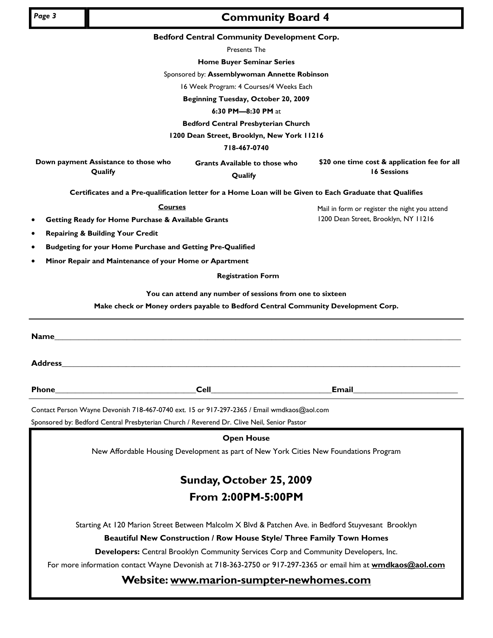# **Community Board 4** *Page 3*

#### **Bedford Central Community Development Corp.**

Presents The

**Home Buyer Seminar Series** 

Sponsored by: **Assemblywoman Annette Robinson**

16 Week Program: 4 Courses/4 Weeks Each

**Beginning Tuesday, October 20, 2009** 

#### **6:30 PM—8:30 PM** at

**Bedford Central Presbyterian Church** 

**1200 Dean Street, Brooklyn, New York 11216** 

**718-467-0740** 

**Down payment Assistance to those who Qualify** 

**Grants Available to those who Qualify** 

**\$20 one time cost & application fee for all 16 Sessions** 

Mail in form or register the night you attend 1200 Dean Street, Brooklyn, NY 11216

**Certificates and a Pre-qualification letter for a Home Loan will be Given to Each Graduate that Qualifies** 

**Courses**

- **Getting Ready for Home Purchase & Available Grants**
- **Repairing & Building Your Credit**
- **Budgeting for your Home Purchase and Getting Pre-Qualified**
- **Minor Repair and Maintenance of your Home or Apartment**

**Registration Form** 

**You can attend any number of sessions from one to sixteen** 

**Make check or Money orders payable to Bedford Central Community Development Corp.** 

| Name_          |                                                                                                    |                              |
|----------------|----------------------------------------------------------------------------------------------------|------------------------------|
| <b>Address</b> |                                                                                                    |                              |
|                | <b>Cell Cell Cell Cell Cell Cell</b>                                                               | Email ______________________ |
|                | Contact Person Wayne Devonish 718-467-0740 ext. 15 or 917-297-2365 / Email wmdkaos@aol.com         |                              |
|                | Sponsored by: Bedford Central Presbyterian Church / Reverend Dr. Clive Neil, Senior Pastor         |                              |
|                | <b>Open House</b>                                                                                  |                              |
|                | New Affordable Housing Development as part of New York Cities New Foundations Program              |                              |
|                | Sunday, October 25, 2009                                                                           |                              |
|                | From 2:00PM-5:00PM                                                                                 |                              |
|                | Starting At 120 Marion Street Between Malcolm X Blvd & Patchen Ave. in Bedford Stuyvesant Brooklyn |                              |
|                | <b>Beautiful New Construction / Row House Style/ Three Family Town Homes</b>                       |                              |
|                | Developers: Central Brooklyn Community Services Corp and Community Developers, Inc.                |                              |

For more information contact Wayne Devonish at 718-363-2750 or 917-297-2365 or email him at **wmdkaos@aol.com**

# **Website: www.marion-sumpter-newhomes.com**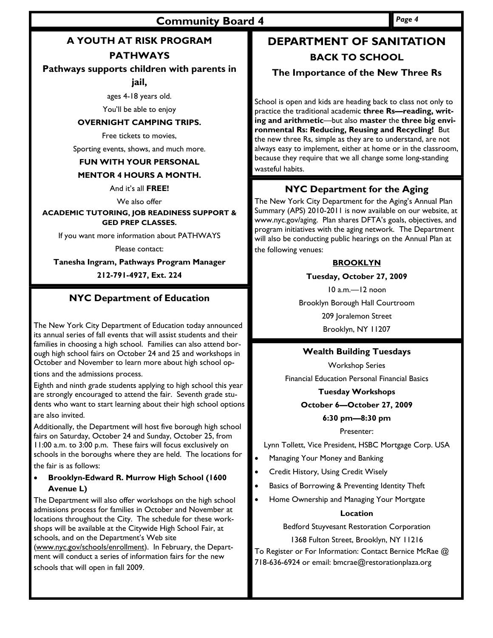# **A YOUTH AT RISK PROGRAM**

# **PATHWAYS**

## **Pathways supports children with parents in**

**jail,** 

ages 4-18 years old.

You'll be able to enjoy

## **OVERNIGHT CAMPING TRIPS.**

Free tickets to movies,

Sporting events, shows, and much more.

## **FUN WITH YOUR PERSONAL**

## **MENTOR 4 HOURS A MONTH.**

And it's all **FREE!** 

We also offer

#### **ACADEMIC TUTORING, JOB READINESS SUPPORT & GED PREP CLASSES.**

If you want more information about PATHWAYS

Please contact:

## **Tanesha Ingram, Pathways Program Manager**

## **212-791-4927, Ext. 224**

## **NYC Department of Education**

The New York City Department of Education today announced its annual series of fall events that will assist students and their families in choosing a high school. Families can also attend borough high school fairs on October 24 and 25 and workshops in October and November to learn more about high school op-

tions and the admissions process.

Eighth and ninth grade students applying to high school this year are strongly encouraged to attend the fair. Seventh grade students who want to start learning about their high school options are also invited.

Additionally, the Department will host five borough high school fairs on Saturday, October 24 and Sunday, October 25, from 11:00 a.m. to 3:00 p.m. These fairs will focus exclusively on schools in the boroughs where they are held. The locations for the fair is as follows:

## • **Brooklyn-Edward R. Murrow High School (1600 Avenue L)**

The Department will also offer workshops on the high school admissions process for families in October and November at locations throughout the City. The schedule for these workshops will be available at the Citywide High School Fair, at schools, and on the Department's Web site

(www.nyc.gov/schools/enrollment). In February, the Department will conduct a series of information fairs for the new schools that will open in fall 2009.

# **DEPARTMENT OF SANITATION BACK TO SCHOOL**

# **The Importance of the New Three Rs**

School is open and kids are heading back to class not only to practice the traditional academic **three Rs—reading, writing and arithmetic**—but also **master** the **three big environmental Rs: Reducing, Reusing and Recycling!** But the new three Rs, simple as they are to understand, are not always easy to implement, either at home or in the classroom, because they require that we all change some long-standing wasteful habits.

# **NYC Department for the Aging**

The New York City Department for the Aging's Annual Plan Summary (APS) 2010-2011 is now available on our website, at www.nyc.gov/aging. Plan shares DFTA's goals, objectives, and program initiatives with the aging network. The Department will also be conducting public hearings on the Annual Plan at the following venues:

## **BROOKLYN**

## **Tuesday, October 27, 2009**

10 a.m.—12 noon Brooklyn Borough Hall Courtroom 209 Joralemon Street

Brooklyn, NY 11207

## **Wealth Building Tuesdays**

Workshop Series

Financial Education Personal Financial Basics

## **Tuesday Workshops**

#### **October 6—October 27, 2009**

## **6:30 pm—8:30 pm**

## Presenter:

Lynn Tollett, Vice President, HSBC Mortgage Corp. USA

- Managing Your Money and Banking
- Credit History, Using Credit Wisely
- Basics of Borrowing & Preventing Identity Theft
- Home Ownership and Managing Your Mortgate

#### **Location**

Bedford Stuyvesant Restoration Corporation

1368 Fulton Street, Brooklyn, NY 11216

To Register or For Information: Contact Bernice McRae @ 718-636-6924 or email: bmcrae@restorationplaza.org